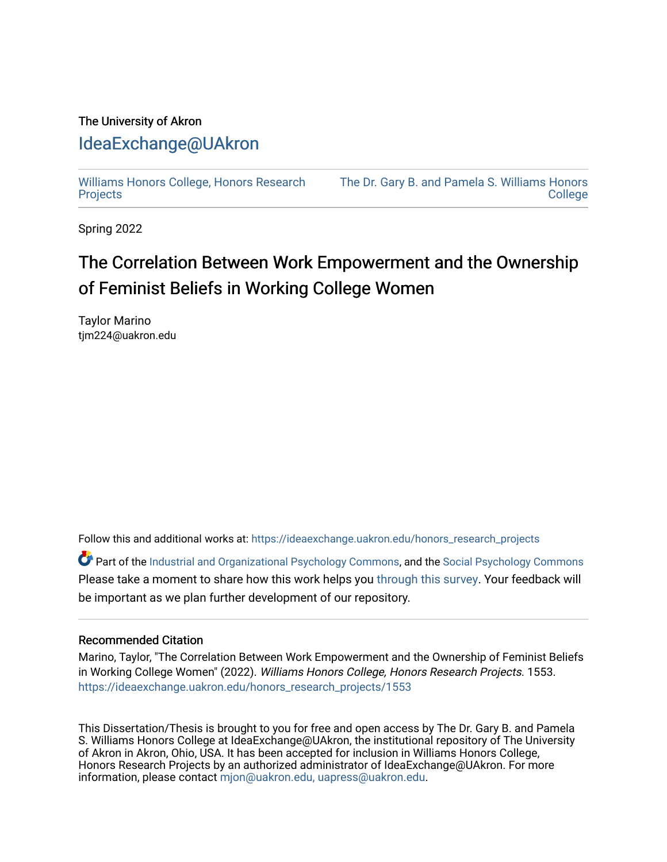## The University of Akron [IdeaExchange@UAkron](https://ideaexchange.uakron.edu/)

[Williams Honors College, Honors Research](https://ideaexchange.uakron.edu/honors_research_projects)  **[Projects](https://ideaexchange.uakron.edu/honors_research_projects)** 

[The Dr. Gary B. and Pamela S. Williams Honors](https://ideaexchange.uakron.edu/honorscollege_ideas)  **College** 

Spring 2022

# The Correlation Between Work Empowerment and the Ownership of Feminist Beliefs in Working College Women

Taylor Marino tjm224@uakron.edu

Follow this and additional works at: [https://ideaexchange.uakron.edu/honors\\_research\\_projects](https://ideaexchange.uakron.edu/honors_research_projects?utm_source=ideaexchange.uakron.edu%2Fhonors_research_projects%2F1553&utm_medium=PDF&utm_campaign=PDFCoverPages) 

Part of the [Industrial and Organizational Psychology Commons,](http://network.bepress.com/hgg/discipline/412?utm_source=ideaexchange.uakron.edu%2Fhonors_research_projects%2F1553&utm_medium=PDF&utm_campaign=PDFCoverPages) and the [Social Psychology Commons](http://network.bepress.com/hgg/discipline/414?utm_source=ideaexchange.uakron.edu%2Fhonors_research_projects%2F1553&utm_medium=PDF&utm_campaign=PDFCoverPages) Please take a moment to share how this work helps you [through this survey](http://survey.az1.qualtrics.com/SE/?SID=SV_eEVH54oiCbOw05f&URL=https://ideaexchange.uakron.edu/honors_research_projects/1553). Your feedback will be important as we plan further development of our repository.

#### Recommended Citation

Marino, Taylor, "The Correlation Between Work Empowerment and the Ownership of Feminist Beliefs in Working College Women" (2022). Williams Honors College, Honors Research Projects. 1553. [https://ideaexchange.uakron.edu/honors\\_research\\_projects/1553](https://ideaexchange.uakron.edu/honors_research_projects/1553?utm_source=ideaexchange.uakron.edu%2Fhonors_research_projects%2F1553&utm_medium=PDF&utm_campaign=PDFCoverPages) 

This Dissertation/Thesis is brought to you for free and open access by The Dr. Gary B. and Pamela S. Williams Honors College at IdeaExchange@UAkron, the institutional repository of The University of Akron in Akron, Ohio, USA. It has been accepted for inclusion in Williams Honors College, Honors Research Projects by an authorized administrator of IdeaExchange@UAkron. For more information, please contact [mjon@uakron.edu, uapress@uakron.edu.](mailto:mjon@uakron.edu,%20uapress@uakron.edu)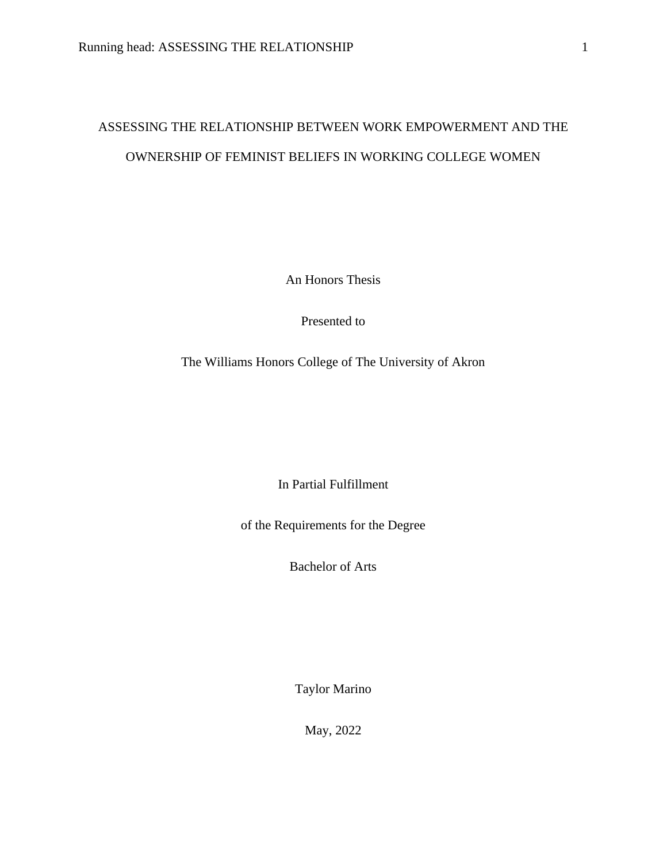## ASSESSING THE RELATIONSHIP BETWEEN WORK EMPOWERMENT AND THE OWNERSHIP OF FEMINIST BELIEFS IN WORKING COLLEGE WOMEN

An Honors Thesis

Presented to

The Williams Honors College of The University of Akron

In Partial Fulfillment

of the Requirements for the Degree

Bachelor of Arts

Taylor Marino

May, 2022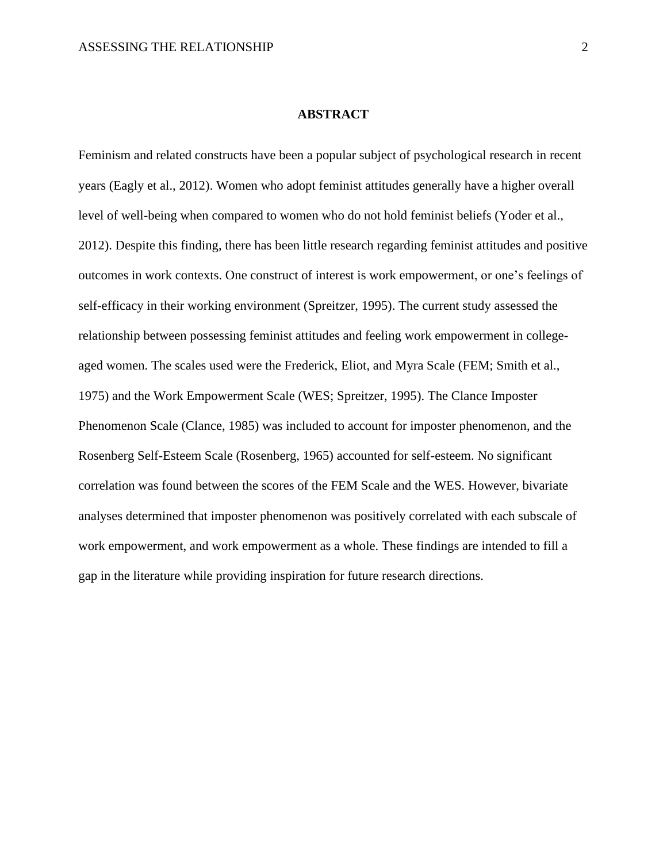#### **ABSTRACT**

Feminism and related constructs have been a popular subject of psychological research in recent years (Eagly et al., 2012). Women who adopt feminist attitudes generally have a higher overall level of well-being when compared to women who do not hold feminist beliefs (Yoder et al., 2012). Despite this finding, there has been little research regarding feminist attitudes and positive outcomes in work contexts. One construct of interest is work empowerment, or one's feelings of self-efficacy in their working environment (Spreitzer, 1995). The current study assessed the relationship between possessing feminist attitudes and feeling work empowerment in collegeaged women. The scales used were the Frederick, Eliot, and Myra Scale (FEM; Smith et al., 1975) and the Work Empowerment Scale (WES; Spreitzer, 1995). The Clance Imposter Phenomenon Scale (Clance, 1985) was included to account for imposter phenomenon, and the Rosenberg Self-Esteem Scale (Rosenberg, 1965) accounted for self-esteem. No significant correlation was found between the scores of the FEM Scale and the WES. However, bivariate analyses determined that imposter phenomenon was positively correlated with each subscale of work empowerment, and work empowerment as a whole. These findings are intended to fill a gap in the literature while providing inspiration for future research directions.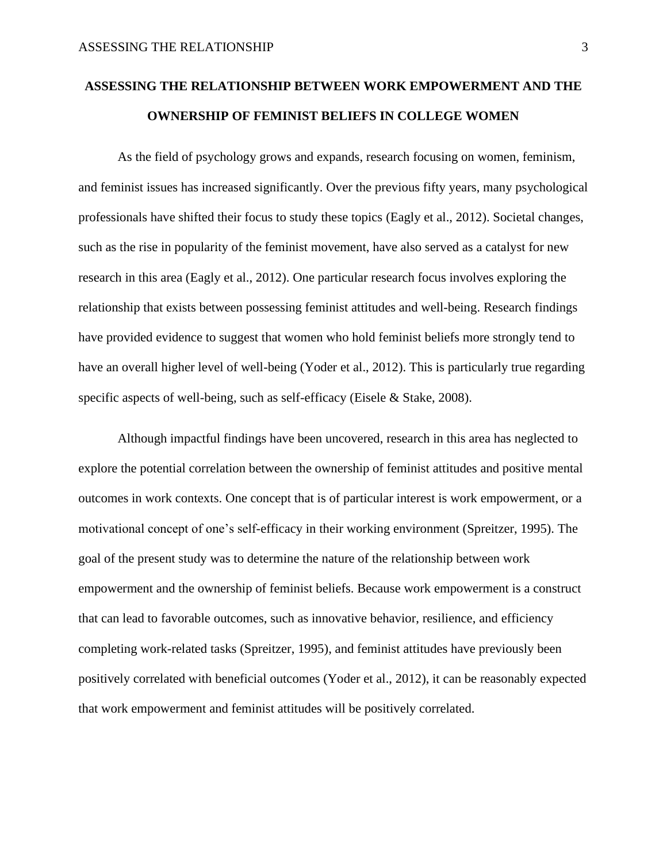## **ASSESSING THE RELATIONSHIP BETWEEN WORK EMPOWERMENT AND THE OWNERSHIP OF FEMINIST BELIEFS IN COLLEGE WOMEN**

As the field of psychology grows and expands, research focusing on women, feminism, and feminist issues has increased significantly. Over the previous fifty years, many psychological professionals have shifted their focus to study these topics (Eagly et al., 2012). Societal changes, such as the rise in popularity of the feminist movement, have also served as a catalyst for new research in this area (Eagly et al., 2012). One particular research focus involves exploring the relationship that exists between possessing feminist attitudes and well-being. Research findings have provided evidence to suggest that women who hold feminist beliefs more strongly tend to have an overall higher level of well-being (Yoder et al., 2012). This is particularly true regarding specific aspects of well-being, such as self-efficacy (Eisele & Stake, 2008).

Although impactful findings have been uncovered, research in this area has neglected to explore the potential correlation between the ownership of feminist attitudes and positive mental outcomes in work contexts. One concept that is of particular interest is work empowerment, or a motivational concept of one's self-efficacy in their working environment (Spreitzer, 1995). The goal of the present study was to determine the nature of the relationship between work empowerment and the ownership of feminist beliefs. Because work empowerment is a construct that can lead to favorable outcomes, such as innovative behavior, resilience, and efficiency completing work-related tasks (Spreitzer, 1995), and feminist attitudes have previously been positively correlated with beneficial outcomes (Yoder et al., 2012), it can be reasonably expected that work empowerment and feminist attitudes will be positively correlated.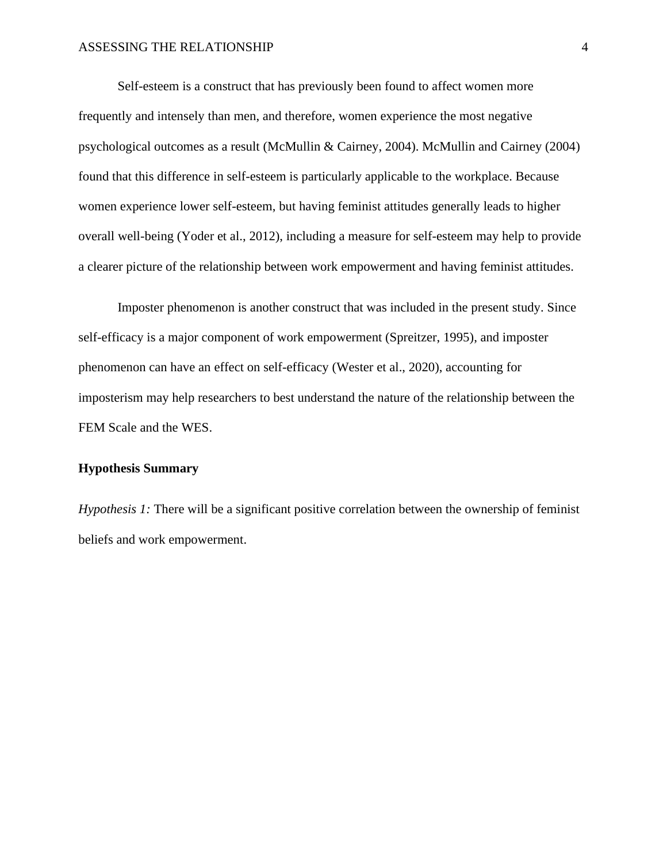#### ASSESSING THE RELATIONSHIP 4

Self-esteem is a construct that has previously been found to affect women more frequently and intensely than men, and therefore, women experience the most negative psychological outcomes as a result (McMullin & Cairney, 2004). McMullin and Cairney (2004) found that this difference in self-esteem is particularly applicable to the workplace. Because women experience lower self-esteem, but having feminist attitudes generally leads to higher overall well-being (Yoder et al., 2012), including a measure for self-esteem may help to provide a clearer picture of the relationship between work empowerment and having feminist attitudes.

Imposter phenomenon is another construct that was included in the present study. Since self-efficacy is a major component of work empowerment (Spreitzer, 1995), and imposter phenomenon can have an effect on self-efficacy (Wester et al., 2020), accounting for imposterism may help researchers to best understand the nature of the relationship between the FEM Scale and the WES.

## **Hypothesis Summary**

*Hypothesis 1:* There will be a significant positive correlation between the ownership of feminist beliefs and work empowerment.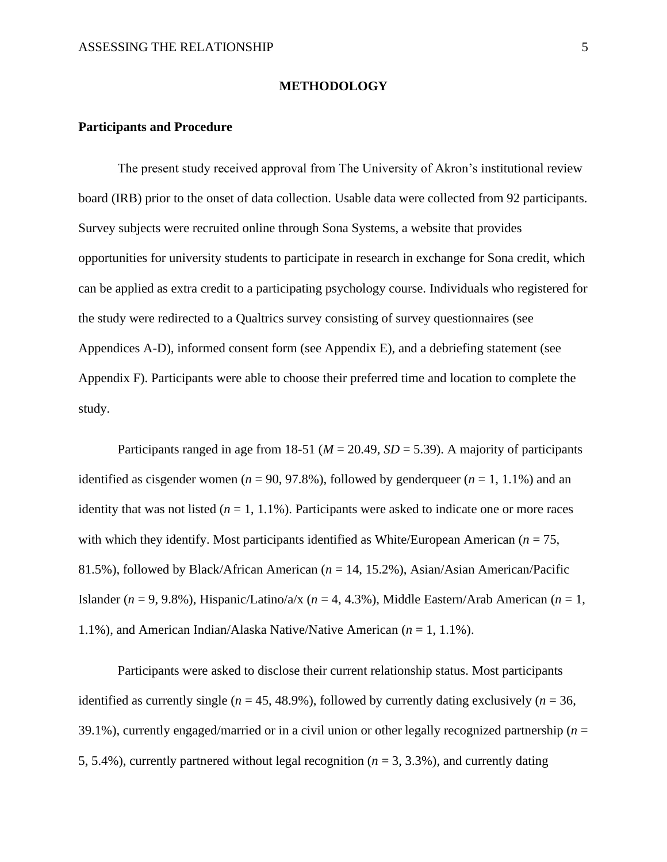#### **METHODOLOGY**

### **Participants and Procedure**

The present study received approval from The University of Akron's institutional review board (IRB) prior to the onset of data collection. Usable data were collected from 92 participants. Survey subjects were recruited online through Sona Systems, a website that provides opportunities for university students to participate in research in exchange for Sona credit, which can be applied as extra credit to a participating psychology course. Individuals who registered for the study were redirected to a Qualtrics survey consisting of survey questionnaires (see Appendices A-D), informed consent form (see Appendix E), and a debriefing statement (see Appendix F). Participants were able to choose their preferred time and location to complete the study.

Participants ranged in age from 18-51 ( $M = 20.49$ ,  $SD = 5.39$ ). A majority of participants identified as cisgender women ( $n = 90, 97.8\%$ ), followed by genderqueer ( $n = 1, 1.1\%$ ) and an identity that was not listed  $(n = 1, 1.1\%)$ . Participants were asked to indicate one or more races with which they identify. Most participants identified as White/European American ( $n = 75$ , 81.5%), followed by Black/African American (*n* = 14, 15.2%), Asian/Asian American/Pacific Islander ( $n = 9, 9.8\%$ ), Hispanic/Latino/a/x ( $n = 4, 4.3\%$ ), Middle Eastern/Arab American ( $n = 1$ , 1.1%), and American Indian/Alaska Native/Native American (*n* = 1, 1.1%).

Participants were asked to disclose their current relationship status. Most participants identified as currently single ( $n = 45, 48.9\%$ ), followed by currently dating exclusively ( $n = 36$ , 39.1%), currently engaged/married or in a civil union or other legally recognized partnership (*n* = 5, 5.4%), currently partnered without legal recognition ( $n = 3, 3.3$ %), and currently dating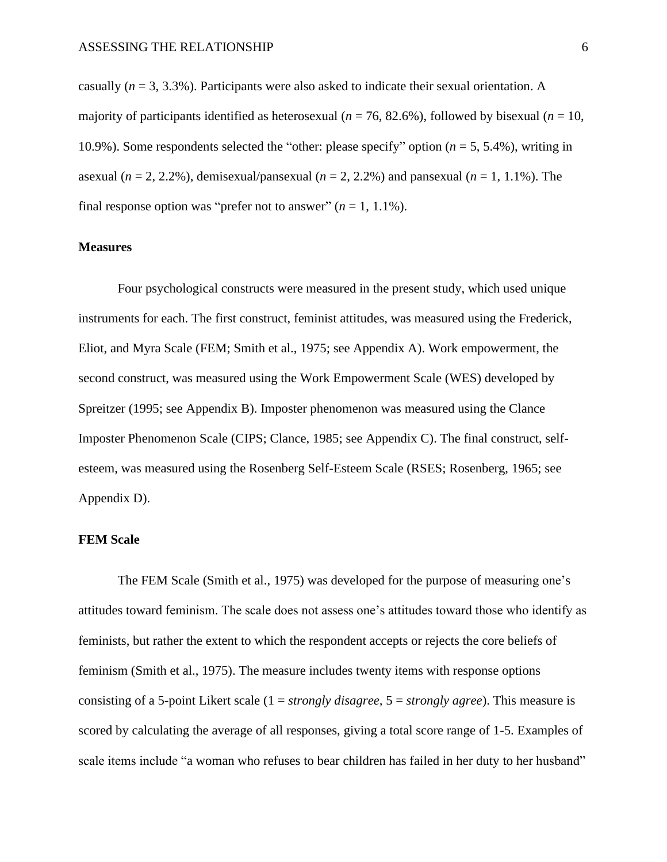casually (*n* = 3, 3.3%). Participants were also asked to indicate their sexual orientation. A majority of participants identified as heterosexual ( $n = 76$ , 82.6%), followed by bisexual ( $n = 10$ , 10.9%). Some respondents selected the "other: please specify" option (*n* = 5, 5.4%), writing in asexual ( $n = 2, 2.2\%$ ), demisexual/pansexual ( $n = 2, 2.2\%$ ) and pansexual ( $n = 1, 1.1\%$ ). The final response option was "prefer not to answer"  $(n = 1, 1.1\%)$ .

#### **Measures**

Four psychological constructs were measured in the present study, which used unique instruments for each. The first construct, feminist attitudes, was measured using the Frederick, Eliot, and Myra Scale (FEM; Smith et al., 1975; see Appendix A). Work empowerment, the second construct, was measured using the Work Empowerment Scale (WES) developed by Spreitzer (1995; see Appendix B). Imposter phenomenon was measured using the Clance Imposter Phenomenon Scale (CIPS; Clance, 1985; see Appendix C). The final construct, selfesteem, was measured using the Rosenberg Self-Esteem Scale (RSES; Rosenberg, 1965; see Appendix D).

## **FEM Scale**

The FEM Scale (Smith et al., 1975) was developed for the purpose of measuring one's attitudes toward feminism. The scale does not assess one's attitudes toward those who identify as feminists, but rather the extent to which the respondent accepts or rejects the core beliefs of feminism (Smith et al., 1975). The measure includes twenty items with response options consisting of a 5-point Likert scale (1 = *strongly disagree,* 5 = *strongly agree*). This measure is scored by calculating the average of all responses, giving a total score range of 1-5. Examples of scale items include "a woman who refuses to bear children has failed in her duty to her husband"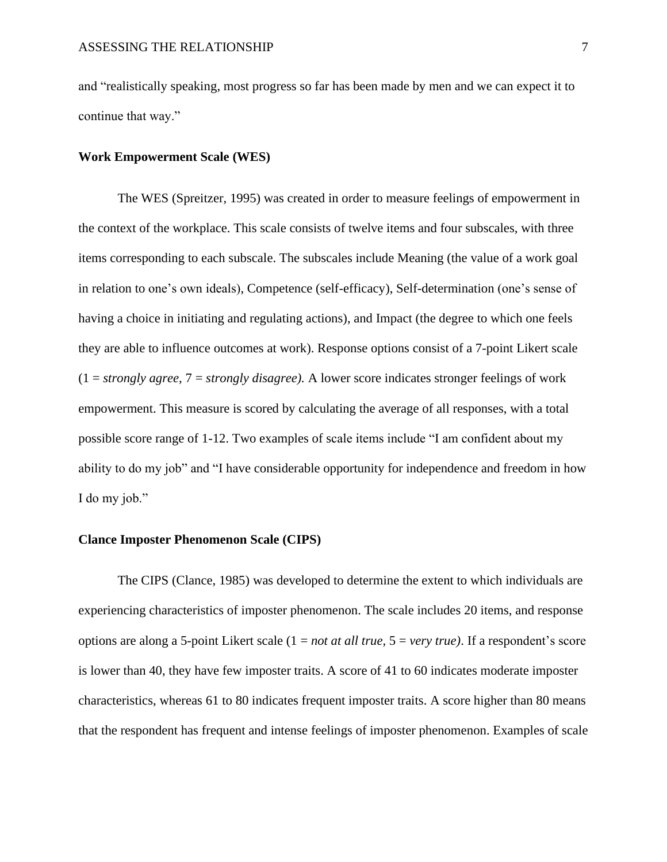and "realistically speaking, most progress so far has been made by men and we can expect it to continue that way."

### **Work Empowerment Scale (WES)**

The WES (Spreitzer, 1995) was created in order to measure feelings of empowerment in the context of the workplace. This scale consists of twelve items and four subscales, with three items corresponding to each subscale. The subscales include Meaning (the value of a work goal in relation to one's own ideals), Competence (self-efficacy), Self-determination (one's sense of having a choice in initiating and regulating actions), and Impact (the degree to which one feels they are able to influence outcomes at work). Response options consist of a 7-point Likert scale (1 = *strongly agree,* 7 = *strongly disagree).* A lower score indicates stronger feelings of work empowerment. This measure is scored by calculating the average of all responses, with a total possible score range of 1-12. Two examples of scale items include "I am confident about my ability to do my job" and "I have considerable opportunity for independence and freedom in how I do my job."

#### **Clance Imposter Phenomenon Scale (CIPS)**

The CIPS (Clance, 1985) was developed to determine the extent to which individuals are experiencing characteristics of imposter phenomenon. The scale includes 20 items, and response options are along a 5-point Likert scale (1 = *not at all true,* 5 = *very true)*. If a respondent's score is lower than 40, they have few imposter traits. A score of 41 to 60 indicates moderate imposter characteristics, whereas 61 to 80 indicates frequent imposter traits. A score higher than 80 means that the respondent has frequent and intense feelings of imposter phenomenon. Examples of scale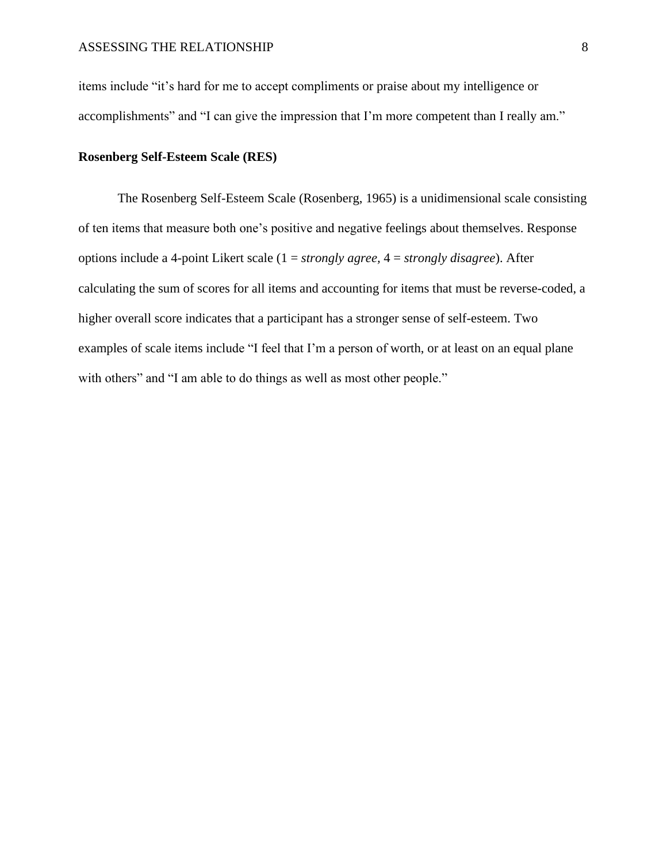items include "it's hard for me to accept compliments or praise about my intelligence or accomplishments" and "I can give the impression that I'm more competent than I really am."

#### **Rosenberg Self-Esteem Scale (RES)**

The Rosenberg Self-Esteem Scale (Rosenberg, 1965) is a unidimensional scale consisting of ten items that measure both one's positive and negative feelings about themselves. Response options include a 4-point Likert scale (1 = *strongly agree,* 4 = *strongly disagree*). After calculating the sum of scores for all items and accounting for items that must be reverse-coded, a higher overall score indicates that a participant has a stronger sense of self-esteem. Two examples of scale items include "I feel that I'm a person of worth, or at least on an equal plane with others" and "I am able to do things as well as most other people."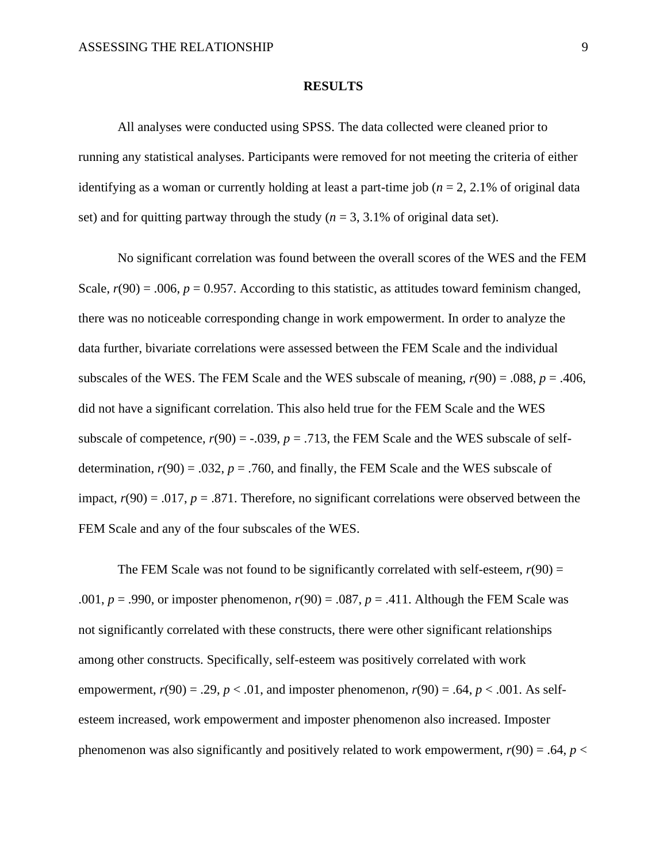#### **RESULTS**

All analyses were conducted using SPSS. The data collected were cleaned prior to running any statistical analyses. Participants were removed for not meeting the criteria of either identifying as a woman or currently holding at least a part-time job ( $n = 2, 2.1\%$  of original data set) and for quitting partway through the study  $(n = 3, 3.1\%$  of original data set).

No significant correlation was found between the overall scores of the WES and the FEM Scale,  $r(90) = .006$ ,  $p = 0.957$ . According to this statistic, as attitudes toward feminism changed, there was no noticeable corresponding change in work empowerment. In order to analyze the data further, bivariate correlations were assessed between the FEM Scale and the individual subscales of the WES. The FEM Scale and the WES subscale of meaning,  $r(90) = .088$ ,  $p = .406$ , did not have a significant correlation. This also held true for the FEM Scale and the WES subscale of competence,  $r(90) = -.039$ ,  $p = .713$ , the FEM Scale and the WES subscale of selfdetermination,  $r(90) = .032$ ,  $p = .760$ , and finally, the FEM Scale and the WES subscale of impact,  $r(90) = .017$ ,  $p = .871$ . Therefore, no significant correlations were observed between the FEM Scale and any of the four subscales of the WES.

The FEM Scale was not found to be significantly correlated with self-esteem,  $r(90)$  = .001,  $p = .990$ , or imposter phenomenon,  $r(90) = .087$ ,  $p = .411$ . Although the FEM Scale was not significantly correlated with these constructs, there were other significant relationships among other constructs. Specifically, self-esteem was positively correlated with work empowerment,  $r(90) = .29$ ,  $p < .01$ , and imposter phenomenon,  $r(90) = .64$ ,  $p < .001$ . As selfesteem increased, work empowerment and imposter phenomenon also increased. Imposter phenomenon was also significantly and positively related to work empowerment,  $r(90) = .64$ ,  $p <$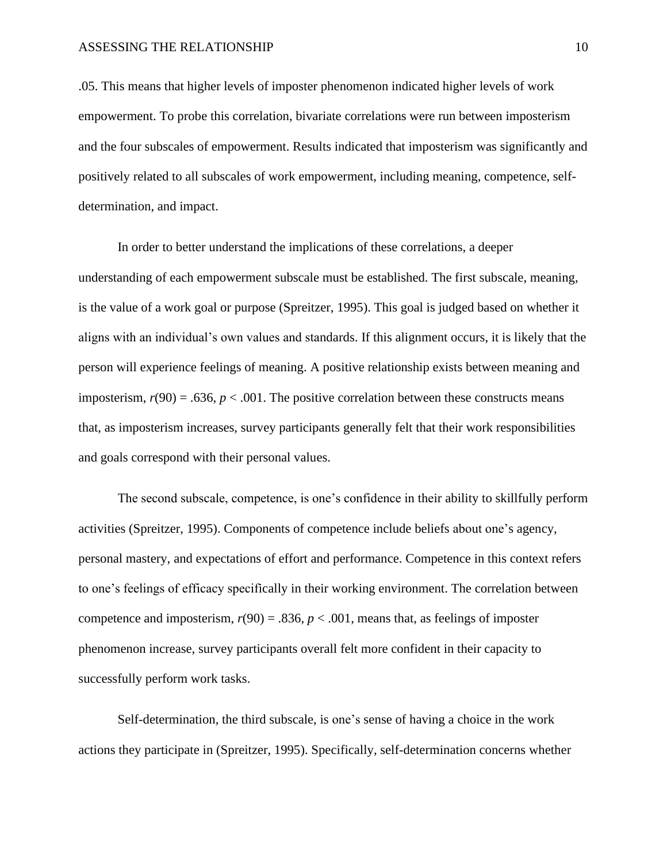.05. This means that higher levels of imposter phenomenon indicated higher levels of work empowerment. To probe this correlation, bivariate correlations were run between imposterism and the four subscales of empowerment. Results indicated that imposterism was significantly and positively related to all subscales of work empowerment, including meaning, competence, selfdetermination, and impact.

In order to better understand the implications of these correlations, a deeper understanding of each empowerment subscale must be established. The first subscale, meaning, is the value of a work goal or purpose (Spreitzer, 1995). This goal is judged based on whether it aligns with an individual's own values and standards. If this alignment occurs, it is likely that the person will experience feelings of meaning. A positive relationship exists between meaning and imposterism,  $r(90) = .636$ ,  $p < .001$ . The positive correlation between these constructs means that, as imposterism increases, survey participants generally felt that their work responsibilities and goals correspond with their personal values.

The second subscale, competence, is one's confidence in their ability to skillfully perform activities (Spreitzer, 1995). Components of competence include beliefs about one's agency, personal mastery, and expectations of effort and performance. Competence in this context refers to one's feelings of efficacy specifically in their working environment. The correlation between competence and imposterism,  $r(90) = .836$ ,  $p < .001$ , means that, as feelings of imposter phenomenon increase, survey participants overall felt more confident in their capacity to successfully perform work tasks.

Self-determination, the third subscale, is one's sense of having a choice in the work actions they participate in (Spreitzer, 1995). Specifically, self-determination concerns whether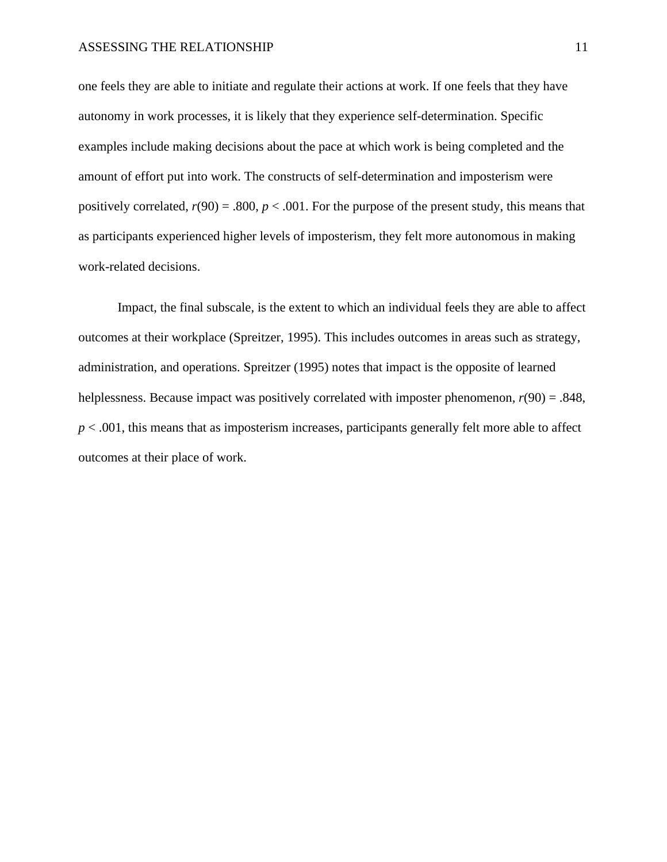one feels they are able to initiate and regulate their actions at work. If one feels that they have autonomy in work processes, it is likely that they experience self-determination. Specific examples include making decisions about the pace at which work is being completed and the amount of effort put into work. The constructs of self-determination and imposterism were positively correlated,  $r(90) = .800$ ,  $p < .001$ . For the purpose of the present study, this means that as participants experienced higher levels of imposterism, they felt more autonomous in making work-related decisions.

Impact, the final subscale, is the extent to which an individual feels they are able to affect outcomes at their workplace (Spreitzer, 1995). This includes outcomes in areas such as strategy, administration, and operations. Spreitzer (1995) notes that impact is the opposite of learned helplessness. Because impact was positively correlated with imposter phenomenon, *r*(90) = .848,  $p < .001$ , this means that as imposterism increases, participants generally felt more able to affect outcomes at their place of work.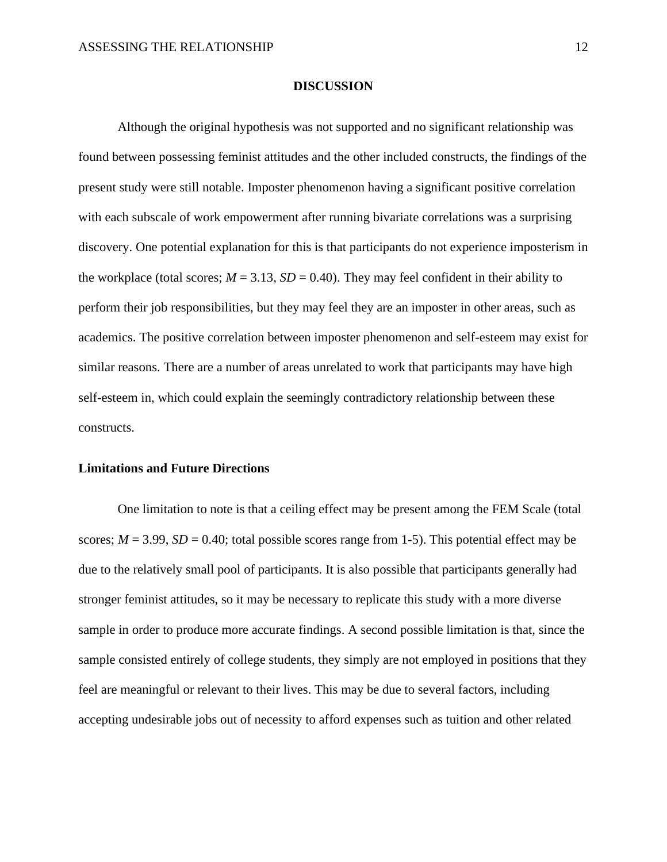#### **DISCUSSION**

Although the original hypothesis was not supported and no significant relationship was found between possessing feminist attitudes and the other included constructs, the findings of the present study were still notable. Imposter phenomenon having a significant positive correlation with each subscale of work empowerment after running bivariate correlations was a surprising discovery. One potential explanation for this is that participants do not experience imposterism in the workplace (total scores;  $M = 3.13$ ,  $SD = 0.40$ ). They may feel confident in their ability to perform their job responsibilities, but they may feel they are an imposter in other areas, such as academics. The positive correlation between imposter phenomenon and self-esteem may exist for similar reasons. There are a number of areas unrelated to work that participants may have high self-esteem in, which could explain the seemingly contradictory relationship between these constructs.

#### **Limitations and Future Directions**

One limitation to note is that a ceiling effect may be present among the FEM Scale (total scores;  $M = 3.99$ ,  $SD = 0.40$ ; total possible scores range from 1-5). This potential effect may be due to the relatively small pool of participants. It is also possible that participants generally had stronger feminist attitudes, so it may be necessary to replicate this study with a more diverse sample in order to produce more accurate findings. A second possible limitation is that, since the sample consisted entirely of college students, they simply are not employed in positions that they feel are meaningful or relevant to their lives. This may be due to several factors, including accepting undesirable jobs out of necessity to afford expenses such as tuition and other related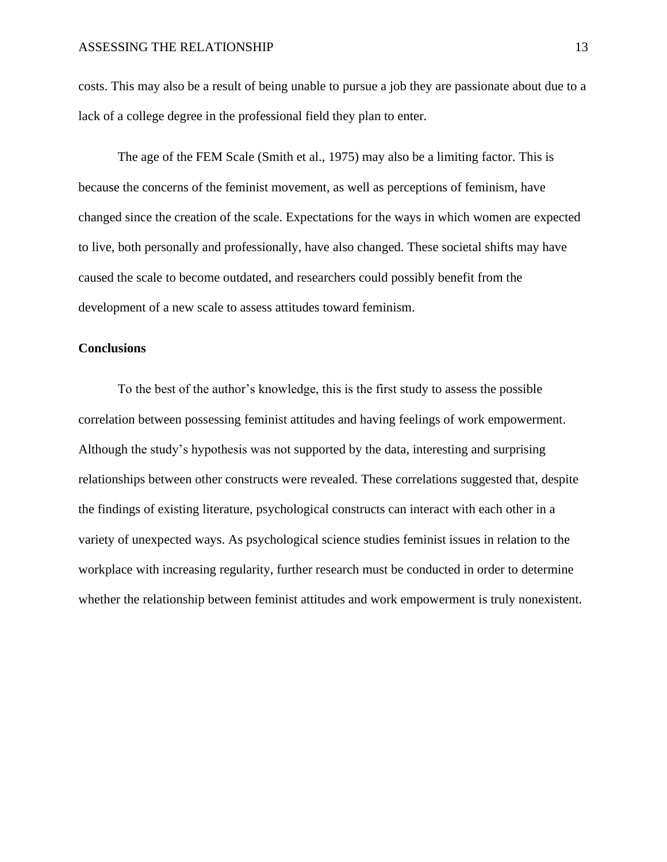costs. This may also be a result of being unable to pursue a job they are passionate about due to a lack of a college degree in the professional field they plan to enter.

The age of the FEM Scale (Smith et al., 1975) may also be a limiting factor. This is because the concerns of the feminist movement, as well as perceptions of feminism, have changed since the creation of the scale. Expectations for the ways in which women are expected to live, both personally and professionally, have also changed. These societal shifts may have caused the scale to become outdated, and researchers could possibly benefit from the development of a new scale to assess attitudes toward feminism.

## **Conclusions**

To the best of the author's knowledge, this is the first study to assess the possible correlation between possessing feminist attitudes and having feelings of work empowerment. Although the study's hypothesis was not supported by the data, interesting and surprising relationships between other constructs were revealed. These correlations suggested that, despite the findings of existing literature, psychological constructs can interact with each other in a variety of unexpected ways. As psychological science studies feminist issues in relation to the workplace with increasing regularity, further research must be conducted in order to determine whether the relationship between feminist attitudes and work empowerment is truly nonexistent.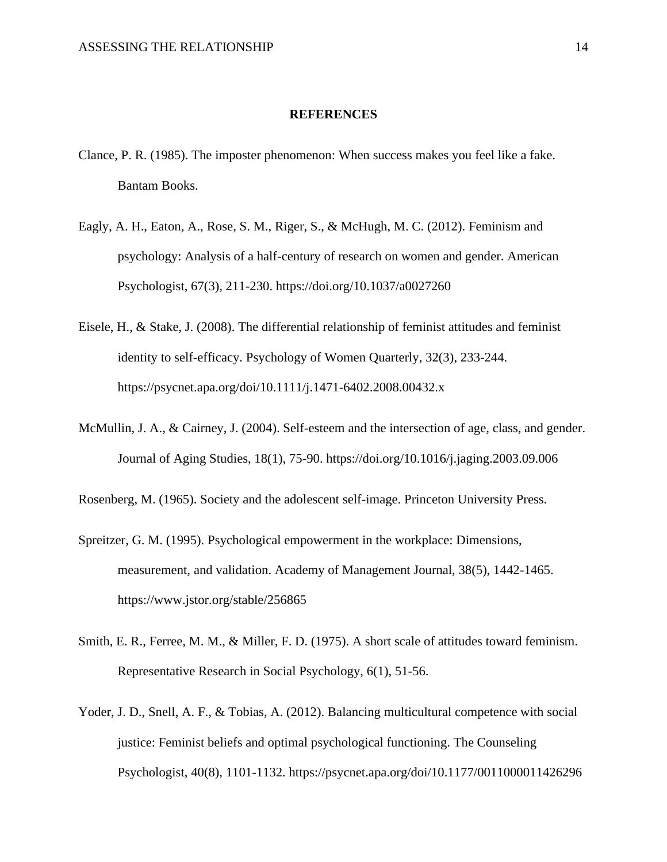### **REFERENCES**

- Clance, P. R. (1985). The imposter phenomenon: When success makes you feel like a fake. Bantam Books.
- Eagly, A. H., Eaton, A., Rose, S. M., Riger, S., & McHugh, M. C. (2012). Feminism and psychology: Analysis of a half-century of research on women and gender. American Psychologist, 67(3), 211-230. https://doi.org/10.1037/a0027260
- Eisele, H., & Stake, J. (2008). The differential relationship of feminist attitudes and feminist identity to self-efficacy. Psychology of Women Quarterly, 32(3), 233-244. https://psycnet.apa.org/doi/10.1111/j.1471-6402.2008.00432.x
- McMullin, J. A., & Cairney, J. (2004). Self-esteem and the intersection of age, class, and gender. Journal of Aging Studies, 18(1), 75-90. https://doi.org/10.1016/j.jaging.2003.09.006

Rosenberg, M. (1965). Society and the adolescent self-image. Princeton University Press.

- Spreitzer, G. M. (1995). Psychological empowerment in the workplace: Dimensions, measurement, and validation. Academy of Management Journal, 38(5), 1442-1465. https://www.jstor.org/stable/256865
- Smith, E. R., Ferree, M. M., & Miller, F. D. (1975). A short scale of attitudes toward feminism. Representative Research in Social Psychology, 6(1), 51-56.
- Yoder, J. D., Snell, A. F., & Tobias, A. (2012). Balancing multicultural competence with social justice: Feminist beliefs and optimal psychological functioning. The Counseling Psychologist, 40(8), 1101-1132. https://psycnet.apa.org/doi/10.1177/0011000011426296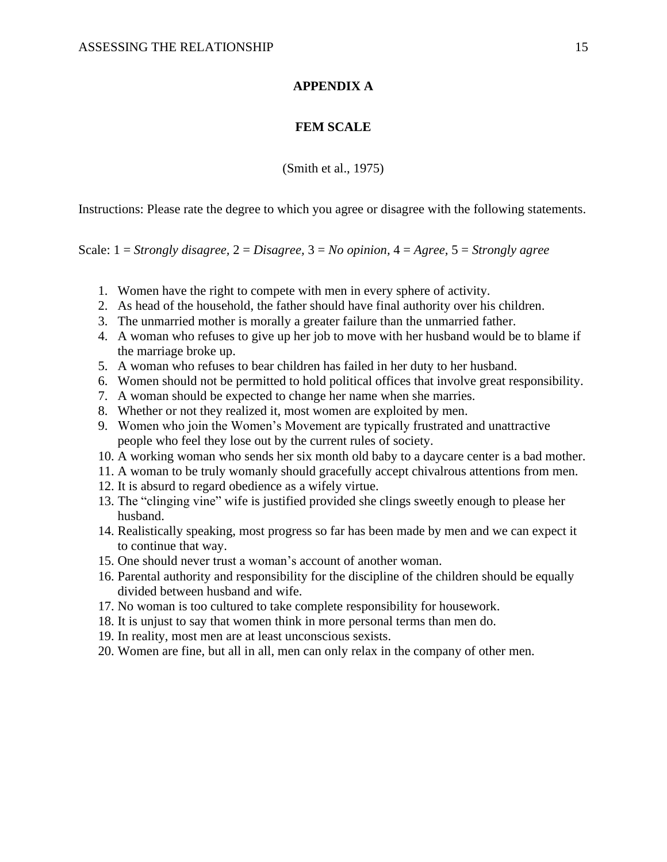## **APPENDIX A**

## **FEM SCALE**

(Smith et al., 1975)

Instructions: Please rate the degree to which you agree or disagree with the following statements.

Scale: 1 = *Strongly disagree,* 2 = *Disagree,* 3 = *No opinion,* 4 = *Agree,* 5 = *Strongly agree*

- 1. Women have the right to compete with men in every sphere of activity.
- 2. As head of the household, the father should have final authority over his children.
- 3. The unmarried mother is morally a greater failure than the unmarried father.
- 4. A woman who refuses to give up her job to move with her husband would be to blame if the marriage broke up.
- 5. A woman who refuses to bear children has failed in her duty to her husband.
- 6. Women should not be permitted to hold political offices that involve great responsibility.
- 7. A woman should be expected to change her name when she marries.
- 8. Whether or not they realized it, most women are exploited by men.
- 9. Women who join the Women's Movement are typically frustrated and unattractive people who feel they lose out by the current rules of society.
- 10. A working woman who sends her six month old baby to a daycare center is a bad mother.
- 11. A woman to be truly womanly should gracefully accept chivalrous attentions from men.
- 12. It is absurd to regard obedience as a wifely virtue.
- 13. The "clinging vine" wife is justified provided she clings sweetly enough to please her husband.
- 14. Realistically speaking, most progress so far has been made by men and we can expect it to continue that way.
- 15. One should never trust a woman's account of another woman.
- 16. Parental authority and responsibility for the discipline of the children should be equally divided between husband and wife.
- 17. No woman is too cultured to take complete responsibility for housework.
- 18. It is unjust to say that women think in more personal terms than men do.
- 19. In reality, most men are at least unconscious sexists.
- 20. Women are fine, but all in all, men can only relax in the company of other men.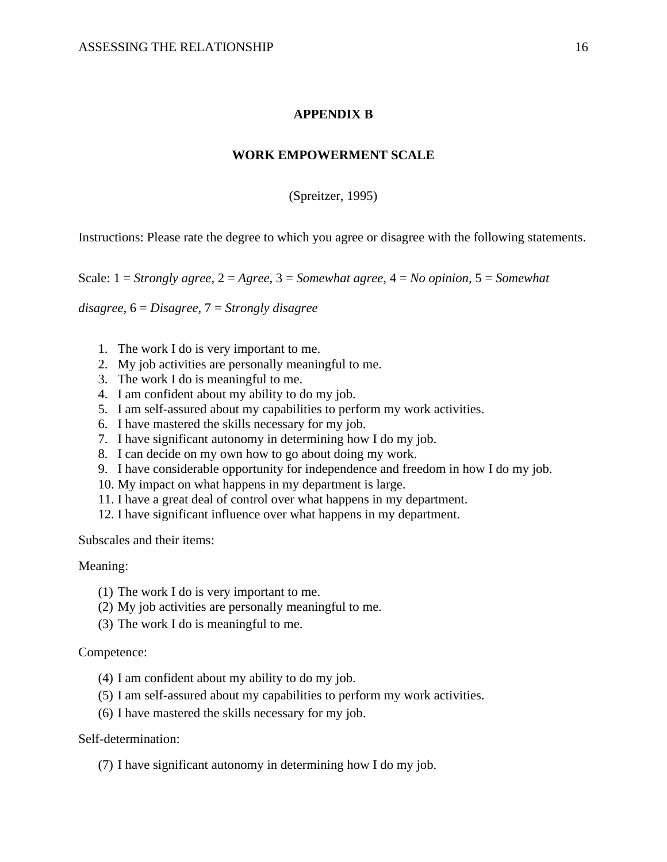## **APPENDIX B**

#### **WORK EMPOWERMENT SCALE**

(Spreitzer, 1995)

Instructions: Please rate the degree to which you agree or disagree with the following statements.

Scale: 1 = *Strongly agree,* 2 = *Agree,* 3 = *Somewhat agree*, 4 = *No opinion,* 5 = *Somewhat* 

*disagree,* 6 = *Disagree*, 7 = *Strongly disagree*

- 1. The work I do is very important to me.
- 2. My job activities are personally meaningful to me.
- 3. The work I do is meaningful to me.
- 4. I am confident about my ability to do my job.
- 5. I am self-assured about my capabilities to perform my work activities.
- 6. I have mastered the skills necessary for my job.
- 7. I have significant autonomy in determining how I do my job.
- 8. I can decide on my own how to go about doing my work.
- 9. I have considerable opportunity for independence and freedom in how I do my job.
- 10. My impact on what happens in my department is large.
- 11. I have a great deal of control over what happens in my department.
- 12. I have significant influence over what happens in my department.

Subscales and their items:

#### Meaning:

- (1) The work I do is very important to me.
- (2) My job activities are personally meaningful to me.
- (3) The work I do is meaningful to me.

#### Competence:

- (4) I am confident about my ability to do my job.
- (5) I am self-assured about my capabilities to perform my work activities.
- (6) I have mastered the skills necessary for my job.

#### Self-determination:

(7) I have significant autonomy in determining how I do my job.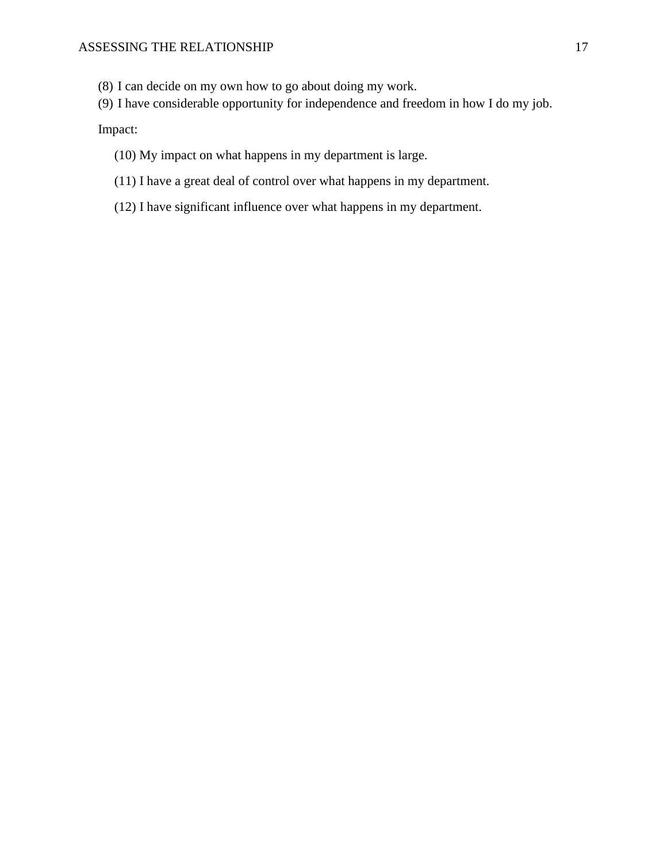- (8) I can decide on my own how to go about doing my work.
- (9) I have considerable opportunity for independence and freedom in how I do my job.

Impact:

- (10) My impact on what happens in my department is large.
- (11) I have a great deal of control over what happens in my department.
- (12) I have significant influence over what happens in my department.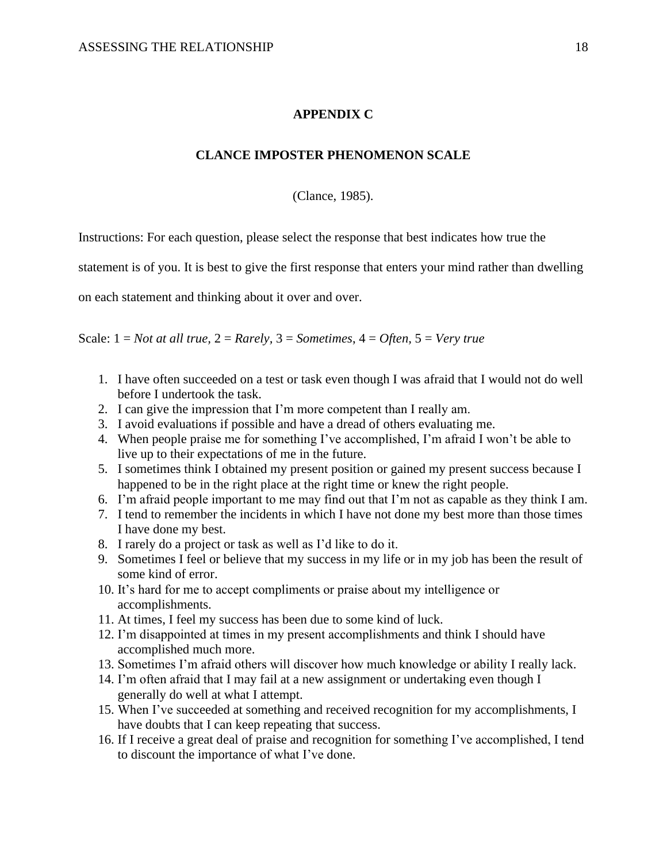## **APPENDIX C**

#### **CLANCE IMPOSTER PHENOMENON SCALE**

(Clance, 1985).

Instructions: For each question, please select the response that best indicates how true the

statement is of you. It is best to give the first response that enters your mind rather than dwelling

on each statement and thinking about it over and over.

Scale: 1 = *Not at all true,* 2 = *Rarely,* 3 = *Sometimes*, 4 = *Often,* 5 = *Very true*

- 1. I have often succeeded on a test or task even though I was afraid that I would not do well before I undertook the task.
- 2. I can give the impression that I'm more competent than I really am.
- 3. I avoid evaluations if possible and have a dread of others evaluating me.
- 4. When people praise me for something I've accomplished, I'm afraid I won't be able to live up to their expectations of me in the future.
- 5. I sometimes think I obtained my present position or gained my present success because I happened to be in the right place at the right time or knew the right people.
- 6. I'm afraid people important to me may find out that I'm not as capable as they think I am.
- 7. I tend to remember the incidents in which I have not done my best more than those times I have done my best.
- 8. I rarely do a project or task as well as I'd like to do it.
- 9. Sometimes I feel or believe that my success in my life or in my job has been the result of some kind of error.
- 10. It's hard for me to accept compliments or praise about my intelligence or accomplishments.
- 11. At times, I feel my success has been due to some kind of luck.
- 12. I'm disappointed at times in my present accomplishments and think I should have accomplished much more.
- 13. Sometimes I'm afraid others will discover how much knowledge or ability I really lack.
- 14. I'm often afraid that I may fail at a new assignment or undertaking even though I generally do well at what I attempt.
- 15. When I've succeeded at something and received recognition for my accomplishments, I have doubts that I can keep repeating that success.
- 16. If I receive a great deal of praise and recognition for something I've accomplished, I tend to discount the importance of what I've done.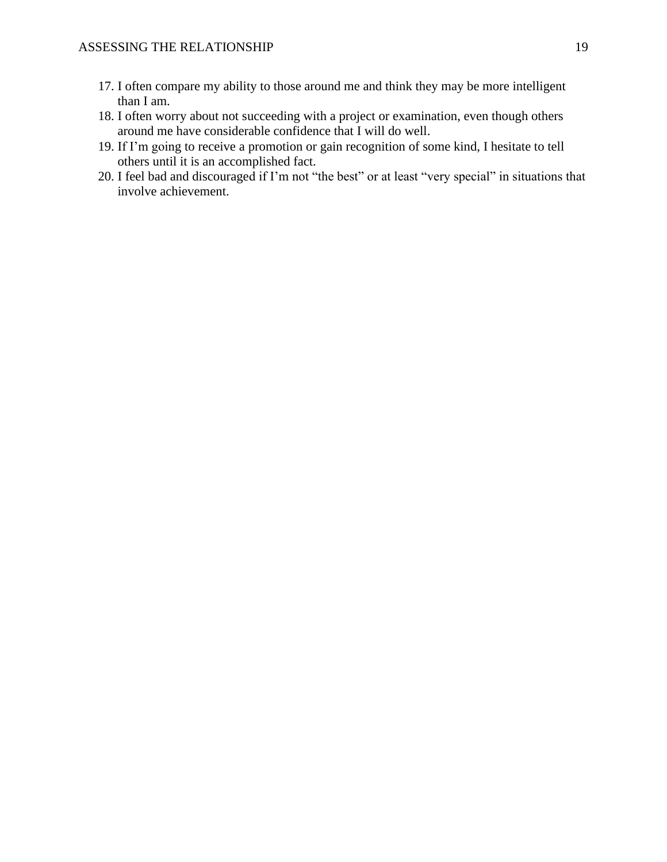- 17. I often compare my ability to those around me and think they may be more intelligent than I am.
- 18. I often worry about not succeeding with a project or examination, even though others around me have considerable confidence that I will do well.
- 19. If I'm going to receive a promotion or gain recognition of some kind, I hesitate to tell others until it is an accomplished fact.
- 20. I feel bad and discouraged if I'm not "the best" or at least "very special" in situations that involve achievement.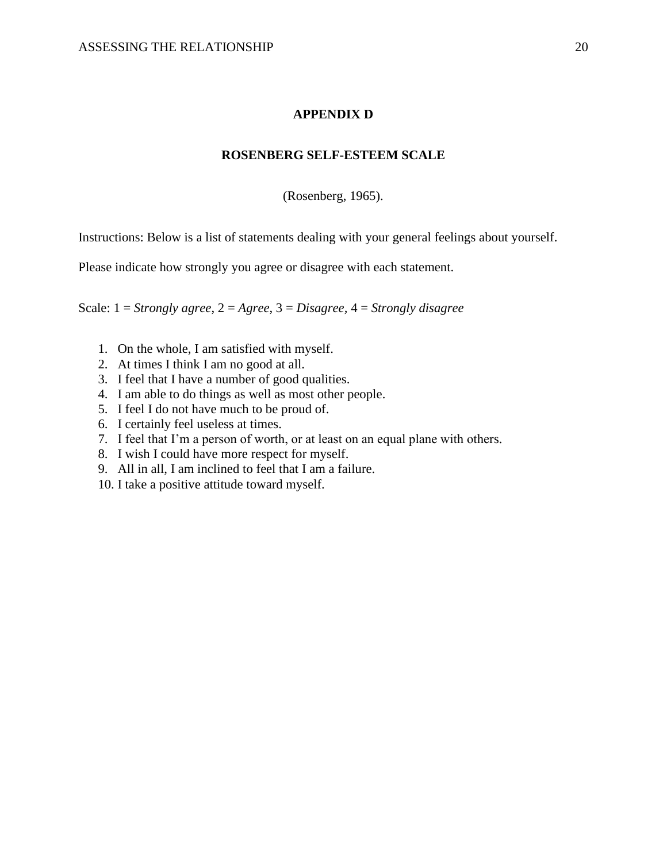## **APPENDIX D**

## **ROSENBERG SELF-ESTEEM SCALE**

(Rosenberg, 1965).

Instructions: Below is a list of statements dealing with your general feelings about yourself.

Please indicate how strongly you agree or disagree with each statement.

Scale: 1 = *Strongly agree*, 2 = *Agree*, 3 = *Disagree,* 4 = *Strongly disagree*

- 1. On the whole, I am satisfied with myself.
- 2. At times I think I am no good at all.
- 3. I feel that I have a number of good qualities.
- 4. I am able to do things as well as most other people.
- 5. I feel I do not have much to be proud of.
- 6. I certainly feel useless at times.
- 7. I feel that I'm a person of worth, or at least on an equal plane with others.
- 8. I wish I could have more respect for myself.
- 9. All in all, I am inclined to feel that I am a failure.
- 10. I take a positive attitude toward myself.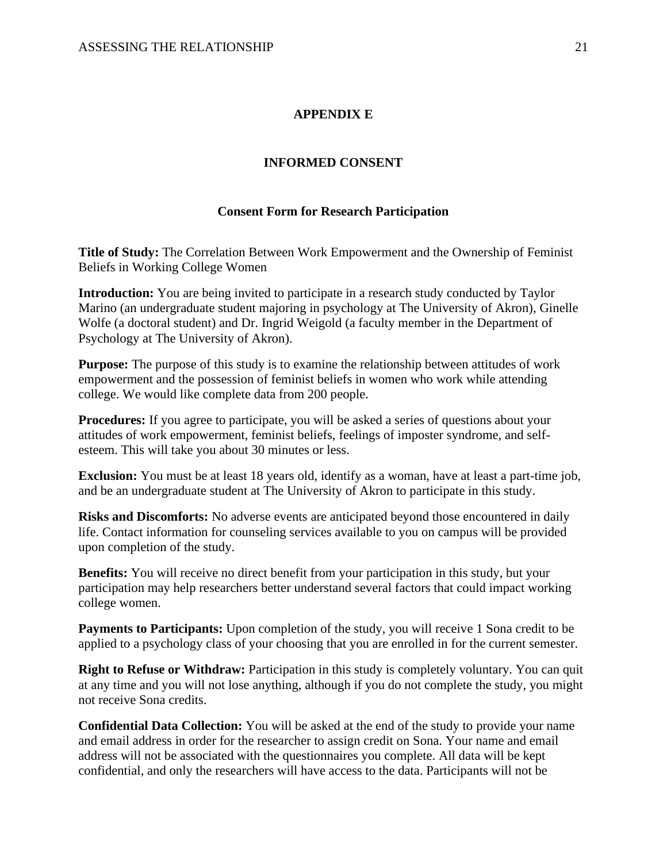## **APPENDIX E**

## **INFORMED CONSENT**

#### **Consent Form for Research Participation**

**Title of Study:** The Correlation Between Work Empowerment and the Ownership of Feminist Beliefs in Working College Women

**Introduction:** You are being invited to participate in a research study conducted by Taylor Marino (an undergraduate student majoring in psychology at The University of Akron), Ginelle Wolfe (a doctoral student) and Dr. Ingrid Weigold (a faculty member in the Department of Psychology at The University of Akron).

**Purpose:** The purpose of this study is to examine the relationship between attitudes of work empowerment and the possession of feminist beliefs in women who work while attending college. We would like complete data from 200 people.

**Procedures:** If you agree to participate, you will be asked a series of questions about your attitudes of work empowerment, feminist beliefs, feelings of imposter syndrome, and selfesteem. This will take you about 30 minutes or less.

**Exclusion:** You must be at least 18 years old, identify as a woman, have at least a part-time job, and be an undergraduate student at The University of Akron to participate in this study.

**Risks and Discomforts:** No adverse events are anticipated beyond those encountered in daily life. Contact information for counseling services available to you on campus will be provided upon completion of the study.

**Benefits:** You will receive no direct benefit from your participation in this study, but your participation may help researchers better understand several factors that could impact working college women.

**Payments to Participants:** Upon completion of the study, you will receive 1 Sona credit to be applied to a psychology class of your choosing that you are enrolled in for the current semester.

**Right to Refuse or Withdraw:** Participation in this study is completely voluntary. You can quit at any time and you will not lose anything, although if you do not complete the study, you might not receive Sona credits.

**Confidential Data Collection:** You will be asked at the end of the study to provide your name and email address in order for the researcher to assign credit on Sona. Your name and email address will not be associated with the questionnaires you complete. All data will be kept confidential, and only the researchers will have access to the data. Participants will not be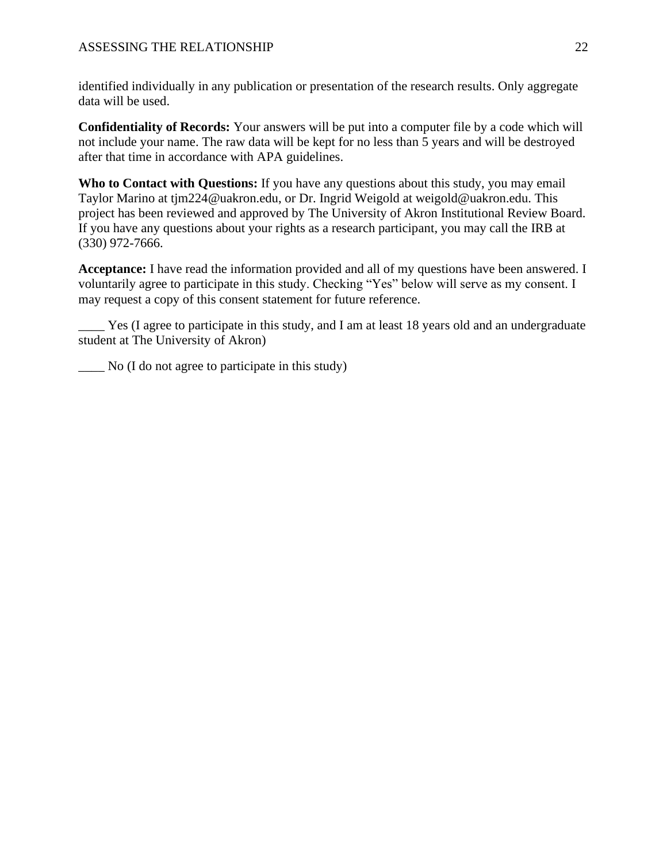identified individually in any publication or presentation of the research results. Only aggregate data will be used.

**Confidentiality of Records:** Your answers will be put into a computer file by a code which will not include your name. The raw data will be kept for no less than 5 years and will be destroyed after that time in accordance with APA guidelines.

**Who to Contact with Questions:** If you have any questions about this study, you may email Taylor Marino at tjm224@uakron.edu, or Dr. Ingrid Weigold at weigold@uakron.edu. This project has been reviewed and approved by The University of Akron Institutional Review Board. If you have any questions about your rights as a research participant, you may call the IRB at (330) 972-7666.

**Acceptance:** I have read the information provided and all of my questions have been answered. I voluntarily agree to participate in this study. Checking "Yes" below will serve as my consent. I may request a copy of this consent statement for future reference.

Yes (I agree to participate in this study, and I am at least 18 years old and an undergraduate student at The University of Akron)

 $\sum$  No (I do not agree to participate in this study)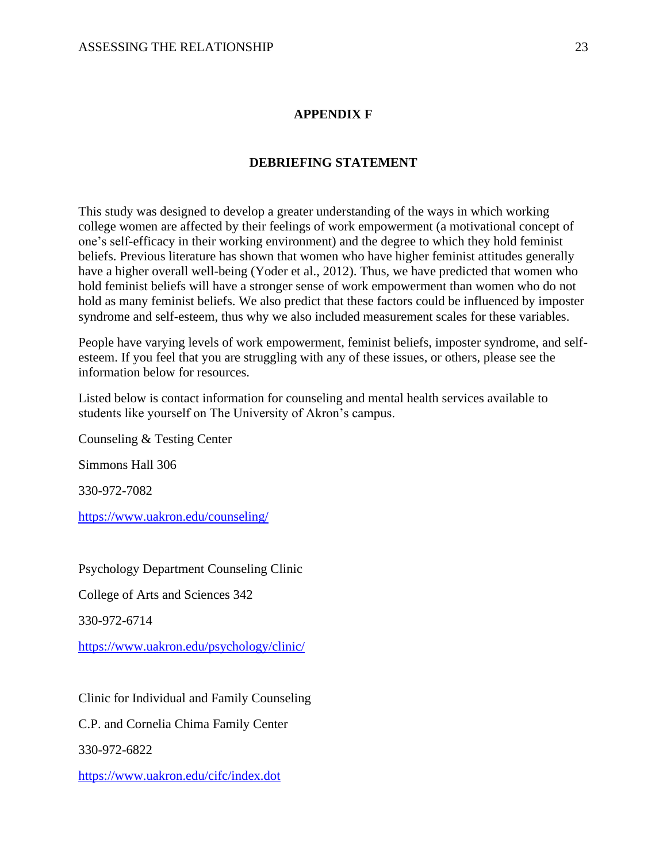## **APPENDIX F**

## **DEBRIEFING STATEMENT**

This study was designed to develop a greater understanding of the ways in which working college women are affected by their feelings of work empowerment (a motivational concept of one's self-efficacy in their working environment) and the degree to which they hold feminist beliefs. Previous literature has shown that women who have higher feminist attitudes generally have a higher overall well-being (Yoder et al., 2012). Thus, we have predicted that women who hold feminist beliefs will have a stronger sense of work empowerment than women who do not hold as many feminist beliefs. We also predict that these factors could be influenced by imposter syndrome and self-esteem, thus why we also included measurement scales for these variables.

People have varying levels of work empowerment, feminist beliefs, imposter syndrome, and selfesteem. If you feel that you are struggling with any of these issues, or others, please see the information below for resources.

Listed below is contact information for counseling and mental health services available to students like yourself on The University of Akron's campus.

Counseling & Testing Center

Simmons Hall 306

330-972-7082

<https://www.uakron.edu/counseling/>

Psychology Department Counseling Clinic

College of Arts and Sciences 342

330-972-6714

<https://www.uakron.edu/psychology/clinic/>

Clinic for Individual and Family Counseling

C.P. and Cornelia Chima Family Center

330-972-6822

<https://www.uakron.edu/cifc/index.dot>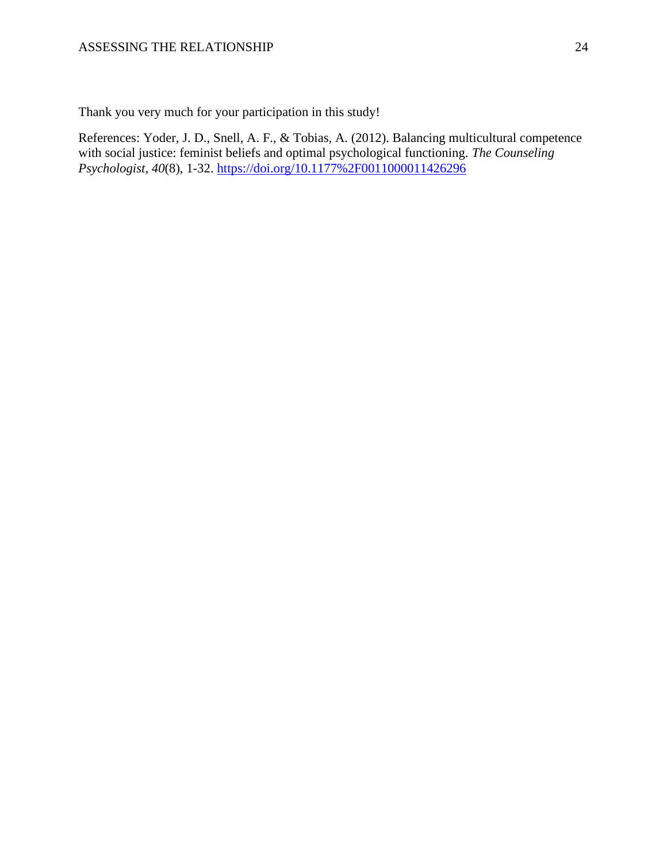Thank you very much for your participation in this study!

References: Yoder, J. D., Snell, A. F., & Tobias, A. (2012). Balancing multicultural competence with social justice: feminist beliefs and optimal psychological functioning. *The Counseling Psychologist, 40*(8), 1-32.<https://doi.org/10.1177%2F0011000011426296>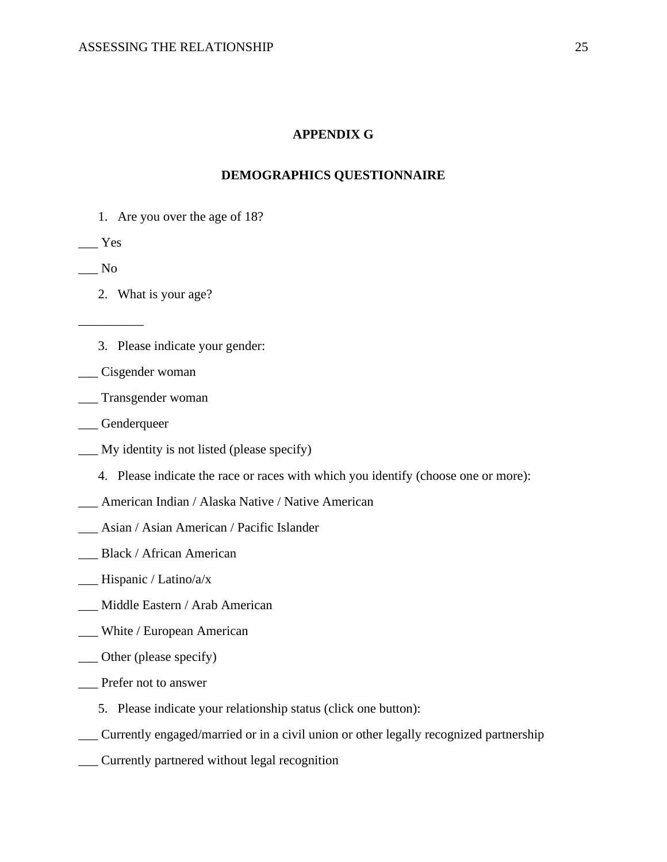## **APPENDIX G**

### **DEMOGRAPHICS QUESTIONNAIRE**

1. Are you over the age of 18?

 $\rule{1em}{0.15mm}$  Yes

 $\_\_$  No

\_\_\_\_\_\_\_\_\_\_

- 2. What is your age?
- 3. Please indicate your gender:
- \_\_\_ Cisgender woman
- \_\_\_ Transgender woman
- \_\_\_ Genderqueer
- \_\_\_ My identity is not listed (please specify)
	- 4. Please indicate the race or races with which you identify (choose one or more):
- \_\_\_ American Indian / Alaska Native / Native American
- \_\_\_ Asian / Asian American / Pacific Islander
- Black / African American
- \_\_\_ Hispanic / Latino/a/x
- \_\_\_ Middle Eastern / Arab American
- \_\_\_ White / European American
- \_\_\_ Other (please specify)
- \_\_\_ Prefer not to answer
	- 5. Please indicate your relationship status (click one button):
- \_\_\_ Currently engaged/married or in a civil union or other legally recognized partnership
- \_\_\_ Currently partnered without legal recognition